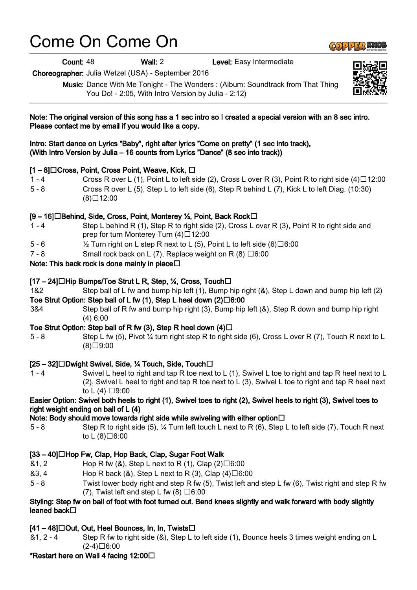# Come On Come On

Count: 48 Wall: 2 Level: Easy Intermediate

Choreographer: Julia Wetzel (USA) - September 2016

Music: Dance With Me Tonight - The Wonders : (Album: Soundtrack from That Thing You Do! - 2:05, With Intro Version by Julia - 2:12)



1 - 4 Swivel L heel to right and tap R toe next to L (1), Swivel L toe to right and tap R heel next to L (2), Swivel L heel to right and tap R toe next to L (3), Swivel L toe to right and tap R heel next to L  $(4)$   $\Box$ 9:00

#### Easier Option: Swivel both heels to right (1), Swivel toes to right (2), Swivel heels to right (3), Swivel toes to right weight ending on ball of L (4)

#### Note: Body should move towards right side while swiveling with either option  $\Box$

5 - 8 Step R to right side (5), ¼ Turn left touch L next to R (6), Step L to left side (7), Touch R next to L  $(8)\square 6:00$ 

### [33 – 40]□Hop Fw, Clap, Hop Back, Clap, Sugar Foot Walk

- $&1, 2$  Hop R fw  $&8,$  Step L next to R  $(1),$  Clap  $(2) \square 6:00$
- $&3, 4$  Hop R back ( $&8$ ), Step L next to R (3), Clap (4)  $\Box 6:00$
- 5 8 Twist lower body right and step R fw (5), Twist left and step L fw (6), Twist right and step R fw (7), Twist left and step L fw  $(8) \square 6:00$

#### Styling: Step fw on ball of foot with foot turned out. Bend knees slightly and walk forward with body slightly leaned back□

## $[41 - 48]$   $\Box$  Out, Out, Heel Bounces, In, In, Twists  $\Box$

&1, 2 - 4 Step R fw to right side (&), Step L to left side (1), Bounce heels 3 times weight ending on L  $(2-4)\Box 6:00$ 

## \*Restart here on Wall 4 facing 12:00